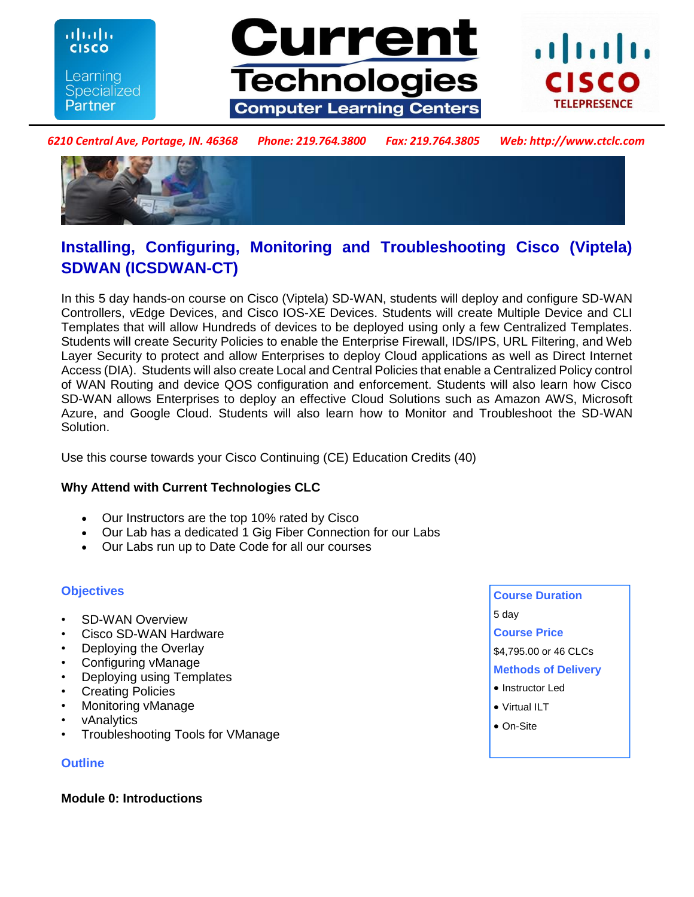ahaha **CISCO** Learning **Specialized Partner** 





*6210 Central Ave, Portage, IN. 46368 Phone: 219.764.3800 Fax: 219.764.3805 Web: http://www.ctclc.com*



# **Installing, Configuring, Monitoring and Troubleshooting Cisco (Viptela) SDWAN (ICSDWAN-CT)**

In this 5 day hands-on course on Cisco (Viptela) SD-WAN, students will deploy and configure SD-WAN Controllers, vEdge Devices, and Cisco IOS-XE Devices. Students will create Multiple Device and CLI Templates that will allow Hundreds of devices to be deployed using only a few Centralized Templates. Students will create Security Policies to enable the Enterprise Firewall, IDS/IPS, URL Filtering, and Web Layer Security to protect and allow Enterprises to deploy Cloud applications as well as Direct Internet Access (DIA). Students will also create Local and Central Policies that enable a Centralized Policy control of WAN Routing and device QOS configuration and enforcement. Students will also learn how Cisco SD-WAN allows Enterprises to deploy an effective Cloud Solutions such as Amazon AWS, Microsoft Azure, and Google Cloud. Students will also learn how to Monitor and Troubleshoot the SD-WAN Solution.

Use this course towards your Cisco Continuing (CE) Education Credits (40)

# **Why Attend with Current Technologies CLC**

- Our Instructors are the top 10% rated by Cisco
- Our Lab has a dedicated 1 Gig Fiber Connection for our Labs
- Our Labs run up to Date Code for all our courses

# **Objectives**

- SD-WAN Overview
- Cisco SD-WAN Hardware
- Deploying the Overlay
- Configuring vManage
- Deploying using Templates
- **Creating Policies**
- Monitoring vManage
- vAnalytics
- Troubleshooting Tools for VManage

#### **Outline**

#### **Module 0: Introductions**

- **Course Duration**  5 day **Course Price**
- 
- \$4,795.00 or 46 CLCs
- **Methods of Delivery**
- Instructor Led
- Virtual ILT
- On-Site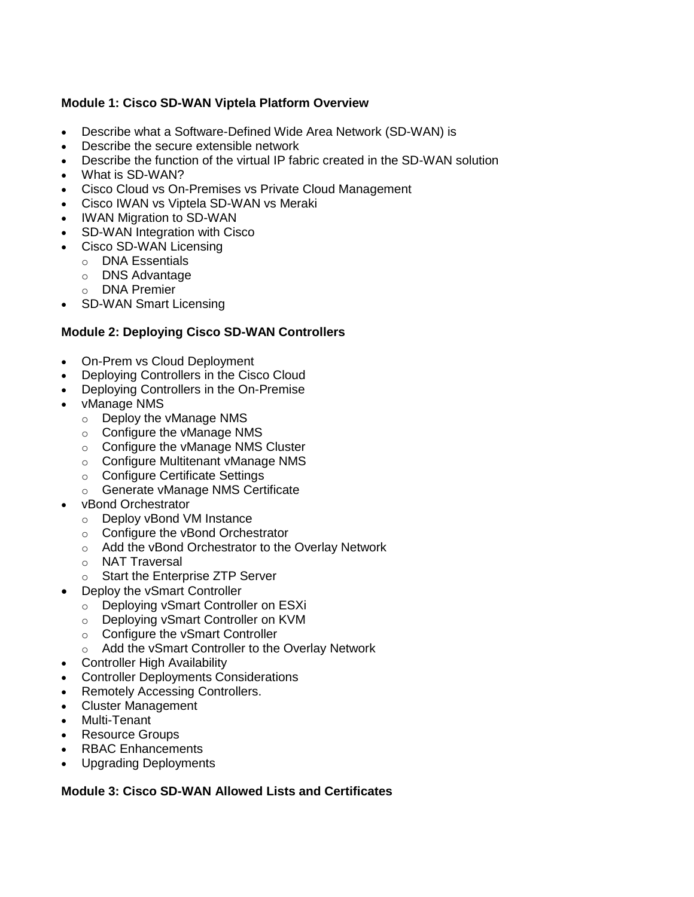## **Module 1: Cisco SD-WAN Viptela Platform Overview**

- Describe what a Software-Defined Wide Area Network (SD-WAN) is
- Describe the secure extensible network
- Describe the function of the virtual IP fabric created in the SD-WAN solution
- What is SD-WAN?
- Cisco Cloud vs On-Premises vs Private Cloud Management
- Cisco IWAN vs Viptela SD-WAN vs Meraki
- IWAN Migration to SD-WAN
- SD-WAN Integration with Cisco
- Cisco SD-WAN Licensing
	- o DNA Essentials
	- o DNS Advantage
	- o DNA Premier
- SD-WAN Smart Licensing

## **Module 2: Deploying Cisco SD-WAN Controllers**

- On-Prem vs Cloud Deployment
- Deploying Controllers in the Cisco Cloud
- Deploying Controllers in the On-Premise
- vManage NMS
	- o Deploy the vManage NMS
	- o Configure the vManage NMS
	- o Configure the vManage NMS Cluster
	- o Configure Multitenant vManage NMS
	- o Configure Certificate Settings
	- o Generate vManage NMS Certificate
- vBond Orchestrator
	- o Deploy vBond VM Instance
	- o Configure the vBond Orchestrator
	- o Add the vBond Orchestrator to the Overlay Network
	- o NAT Traversal
	- o Start the Enterprise ZTP Server
	- Deploy the vSmart Controller
		- o Deploying vSmart Controller on ESXi
		- o Deploying vSmart Controller on KVM
		- o Configure the vSmart Controller
		- o Add the vSmart Controller to the Overlay Network
- Controller High Availability
- Controller Deployments Considerations
- Remotely Accessing Controllers.
- Cluster Management
- Multi-Tenant
- Resource Groups
- RBAC Enhancements
- Upgrading Deployments

## **Module 3: Cisco SD-WAN Allowed Lists and Certificates**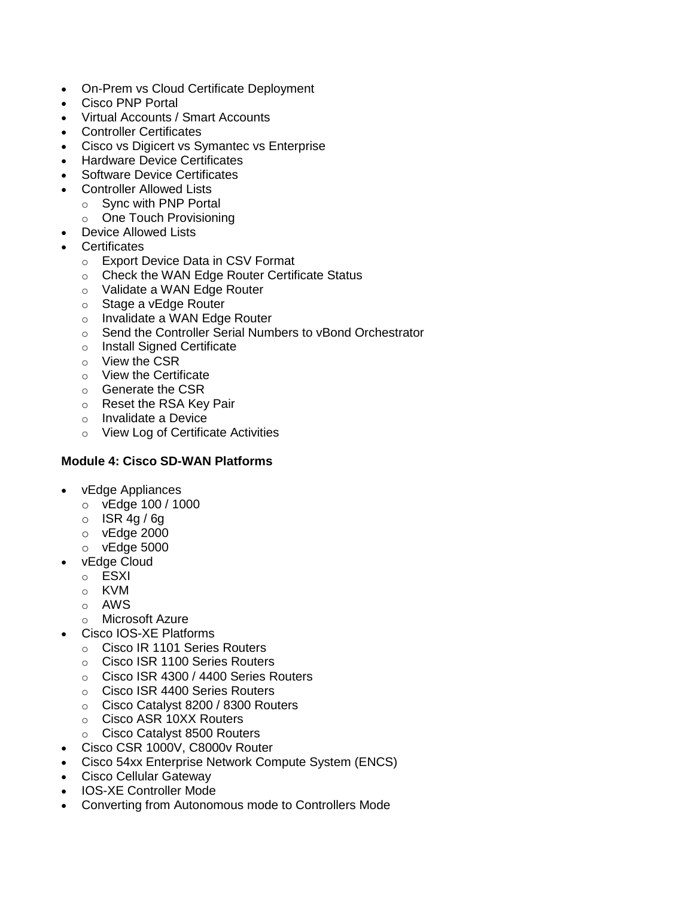- On-Prem vs Cloud Certificate Deployment
- Cisco PNP Portal
- Virtual Accounts / Smart Accounts
- Controller Certificates
- Cisco vs Digicert vs Symantec vs Enterprise
- Hardware Device Certificates
- Software Device Certificates
- Controller Allowed Lists
	- o Sync with PNP Portal
		- o One Touch Provisioning
- Device Allowed Lists
- **Certificates** 
	- o Export Device Data in CSV Format
	- o Check the WAN Edge Router Certificate Status
	- o Validate a WAN Edge Router
	- o Stage a vEdge Router
	- o Invalidate a WAN Edge Router
	- o Send the Controller Serial Numbers to vBond Orchestrator
	- o Install Signed Certificate
	- o View the CSR
	- o View the Certificate
	- o Generate the CSR
	- o Reset the RSA Key Pair
	- o Invalidate a Device
	- o View Log of Certificate Activities

#### **Module 4: Cisco SD-WAN Platforms**

- vEdge Appliances
	- o vEdge 100 / 1000
	- $\circ$  ISR 4g / 6g
	- o vEdge 2000
	- o vEdge 5000
- vEdge Cloud
	- o ESXI
	- o KVM
	- o AWS
	- o Microsoft Azure
- Cisco IOS-XE Platforms
	- o Cisco IR 1101 Series Routers
	- o Cisco ISR 1100 Series Routers
	- o Cisco ISR 4300 / 4400 Series Routers
	- o Cisco ISR 4400 Series Routers
	- o Cisco Catalyst 8200 / 8300 Routers
	- o Cisco ASR 10XX Routers
	- o Cisco Catalyst 8500 Routers
- Cisco CSR 1000V, C8000v Router
- Cisco 54xx Enterprise Network Compute System (ENCS)
- Cisco Cellular Gateway
- IOS-XE Controller Mode
- Converting from Autonomous mode to Controllers Mode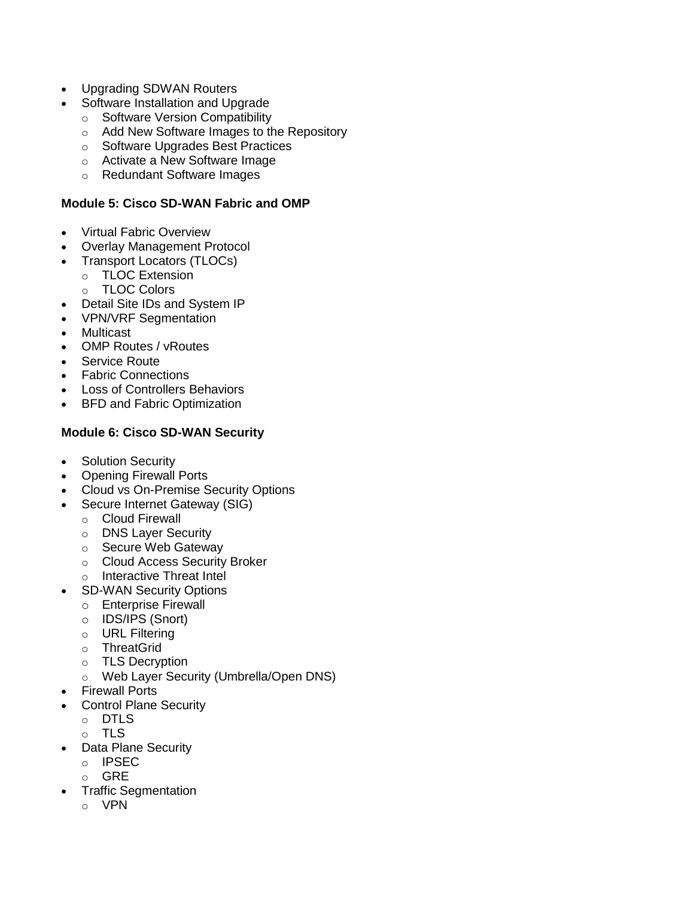- Upgrading SDWAN Routers
- Software Installation and Upgrade
	- o Software Version Compatibility
	- o Add New Software Images to the Repository
	- o Software Upgrades Best Practices
	- o Activate a New Software Image
	- o Redundant Software Images

#### **Module 5: Cisco SD-WAN Fabric and OMP**

- Virtual Fabric Overview
- Overlay Management Protocol
- Transport Locators (TLOCs)
	- o TLOC Extension
		- o TLOC Colors
- Detail Site IDs and System IP
- VPN/VRF Segmentation
- Multicast
- OMP Routes / vRoutes
- Service Route
- Fabric Connections
- Loss of Controllers Behaviors
- BFD and Fabric Optimization

# **Module 6: Cisco SD-WAN Security**

- Solution Security
- Opening Firewall Ports
- Cloud vs On-Premise Security Options
- Secure Internet Gateway (SIG)
	- o Cloud Firewall
	- o DNS Layer Security
	- o Secure Web Gateway
	- o Cloud Access Security Broker
	- o Interactive Threat Intel
- SD-WAN Security Options
	- o Enterprise Firewall
	- o IDS/IPS (Snort)
	- o URL Filtering
	- o ThreatGrid
	- o TLS Decryption
	- o Web Layer Security (Umbrella/Open DNS)
- Firewall Ports
- Control Plane Security
	- o DTLS
	- o TLS
- Data Plane Security
	- o IPSEC
	- o GRE
- Traffic Segmentation
	- o VPN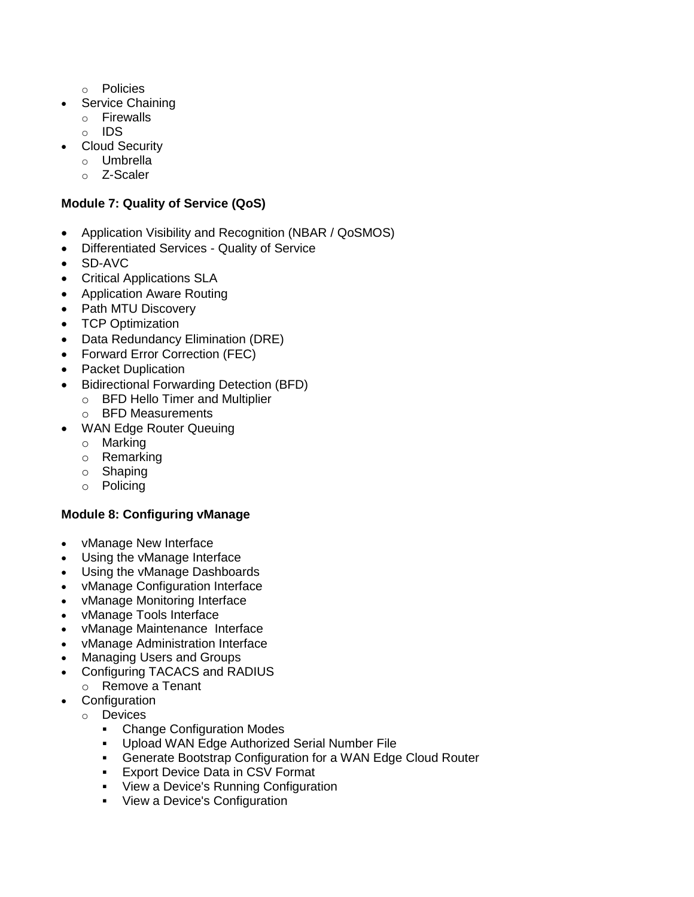- o Policies
- Service Chaining
	- o Firewalls
	- o IDS
- Cloud Security
	- o Umbrella
	- o Z-Scaler

# **Module 7: Quality of Service (QoS)**

- Application Visibility and Recognition (NBAR / QoSMOS)
- Differentiated Services Quality of Service
- SD-AVC
- Critical Applications SLA
- Application Aware Routing
- Path MTU Discovery
- TCP Optimization
- Data Redundancy Elimination (DRE)
- Forward Error Correction (FEC)
- Packet Duplication
- Bidirectional Forwarding Detection (BFD)
	- o BFD Hello Timer and Multiplier
	- o BFD Measurements
- WAN Edge Router Queuing
	- o Marking
	- o Remarking
	- o Shaping
	- o Policing

# **Module 8: Configuring vManage**

- vManage New Interface
- Using the vManage Interface
- Using the vManage Dashboards
- vManage Configuration Interface
- vManage Monitoring Interface
- vManage Tools Interface
- vManage Maintenance Interface
- vManage Administration Interface
- Managing Users and Groups
- Configuring TACACS and RADIUS
- o Remove a Tenant
- Configuration
	- o Devices
		- **-** Change Configuration Modes
		- Upload WAN Edge Authorized Serial Number File
		- Generate Bootstrap Configuration for a WAN Edge Cloud Router
		- **Export Device Data in CSV Format**
		- View a Device's Running Configuration
		- View a Device's Configuration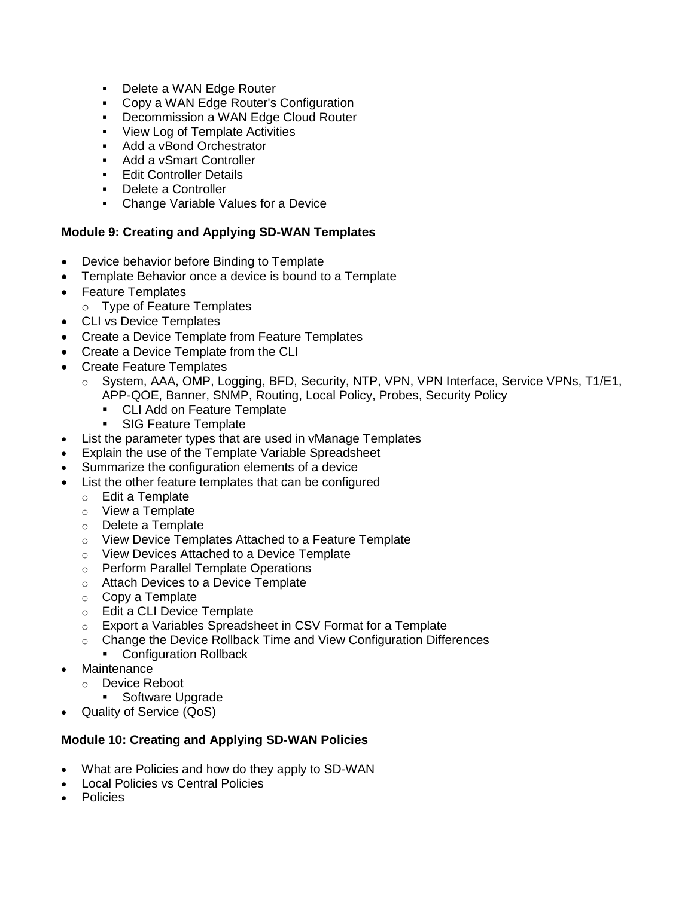- **Delete a WAN Edge Router**
- **Copy a WAN Edge Router's Configuration**
- **Decommission a WAN Edge Cloud Router**
- **View Log of Template Activities**
- Add a vBond Orchestrator
- Add a vSmart Controller
- **Edit Controller Details**
- Delete a Controller
- Change Variable Values for a Device

#### **Module 9: Creating and Applying SD-WAN Templates**

- Device behavior before Binding to Template
- Template Behavior once a device is bound to a Template
- Feature Templates
	- o Type of Feature Templates
- CLI vs Device Templates
- Create a Device Template from Feature Templates
- Create a Device Template from the CLI
- Create Feature Templates
	- o System, AAA, OMP, Logging, BFD, Security, NTP, VPN, VPN Interface, Service VPNs, T1/E1, APP-QOE, Banner, SNMP, Routing, Local Policy, Probes, Security Policy
		- CLI Add on Feature Template
		- **SIG Feature Template**
- List the parameter types that are used in vManage Templates
- Explain the use of the Template Variable Spreadsheet
- Summarize the configuration elements of a device
- List the other feature templates that can be configured
	- o Edit a Template
	- o View a Template
	- o Delete a Template
	- o View Device Templates Attached to a Feature Template
	- o View Devices Attached to a Device Template
	- o Perform Parallel Template Operations
	- o Attach Devices to a Device Template
	- $\circ$  Copy a Template
	- o Edit a CLI Device Template
	- o Export a Variables Spreadsheet in CSV Format for a Template
	- o Change the Device Rollback Time and View Configuration Differences **• Configuration Rollback**
	-
	- Maintenance
	- o Device Reboot
		- **Software Upgrade**
- Quality of Service (QoS)

#### **Module 10: Creating and Applying SD-WAN Policies**

- What are Policies and how do they apply to SD-WAN
- Local Policies vs Central Policies
- Policies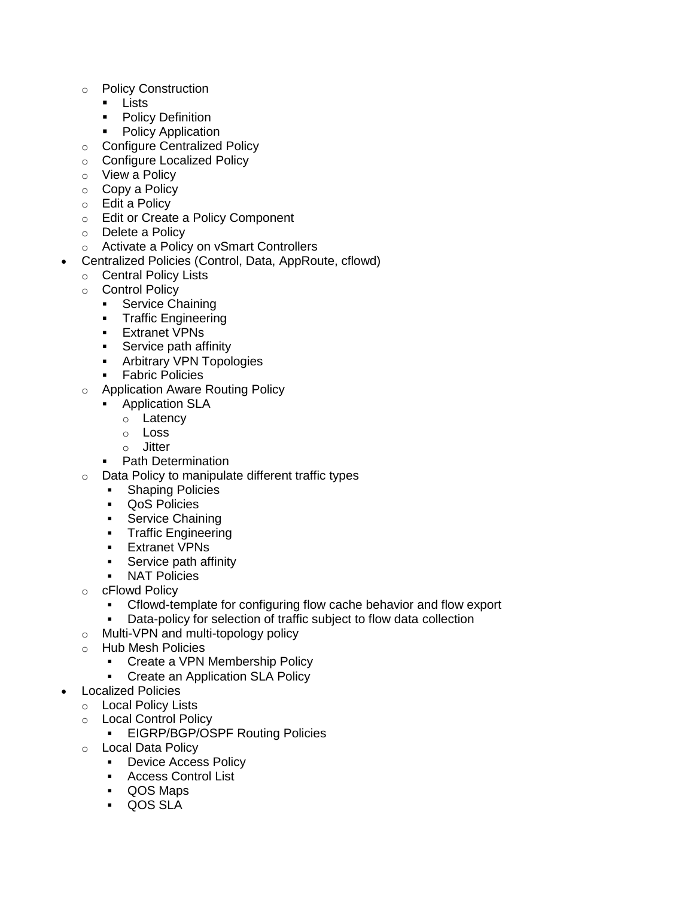- o Policy Construction
	- **Lists**
	- Policy Definition
	- Policy Application
- o Configure Centralized Policy
- o Configure Localized Policy
- o View a Policy
- o Copy a Policy
- o Edit a Policy
- o Edit or Create a Policy Component
- o Delete a Policy
- o Activate a Policy on vSmart Controllers
- Centralized Policies (Control, Data, AppRoute, cflowd)
	- o Central Policy Lists
	- o Control Policy
		- **Service Chaining**
		- **Traffic Engineering**
		- **Extranet VPNs**
		- **Service path affinity**
		- **Arbitrary VPN Topologies**
		- **Fabric Policies**
	- o Application Aware Routing Policy
		- **Application SLA** 
			- o Latency
			- o Loss
			- o Jitter
		- Path Determination
	- o Data Policy to manipulate different traffic types
		- **Shaping Policies**
		- QoS Policies
		- **Service Chaining**
		- **Traffic Engineering**
		- **Extranet VPNs**
		- **Service path affinity**
		- NAT Policies
	- o cFlowd Policy
		- Cflowd-template for configuring flow cache behavior and flow export
		- Data-policy for selection of traffic subject to flow data collection
	- o Multi-VPN and multi-topology policy
	- o Hub Mesh Policies
		- Create a VPN Membership Policy
		- Create an Application SLA Policy
- Localized Policies
	- o Local Policy Lists
	- o Local Control Policy
		- **EIGRP/BGP/OSPF Routing Policies**
	- o Local Data Policy
		- **-** Device Access Policy
		- **Access Control List**
		- QOS Maps
		- QOS SLA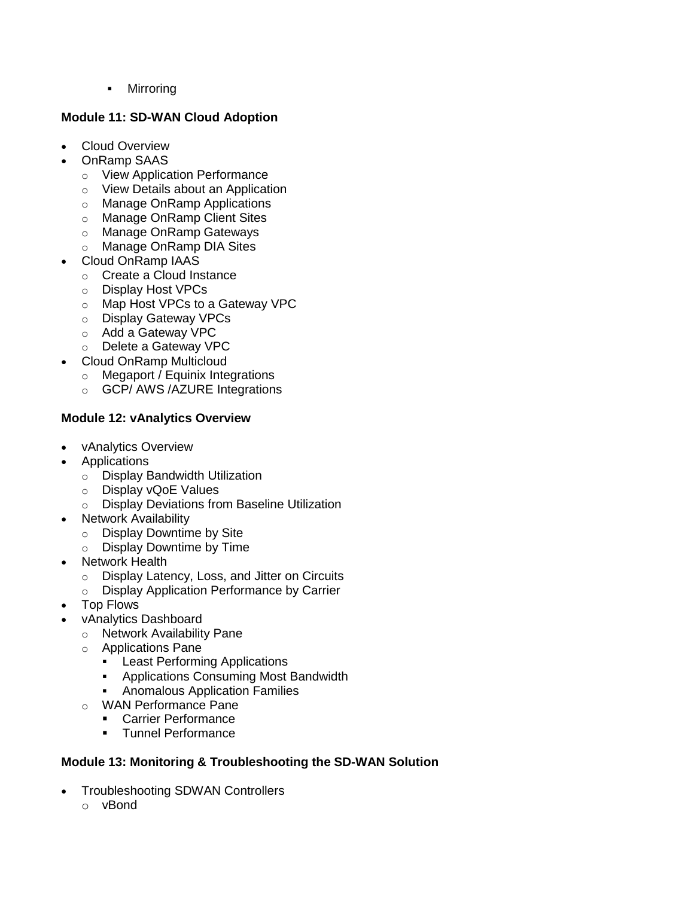• Mirroring

# **Module 11: SD-WAN Cloud Adoption**

- Cloud Overview
- OnRamp SAAS
	- o View Application Performance
	- o View Details about an Application
	- o Manage OnRamp Applications
	- o Manage OnRamp Client Sites
	- o Manage OnRamp Gateways
	- o Manage OnRamp DIA Sites
- Cloud OnRamp IAAS
	- o Create a Cloud Instance
	- o Display Host VPCs
	- o Map Host VPCs to a Gateway VPC
	- o Display Gateway VPCs
	- o Add a Gateway VPC
	- o Delete a Gateway VPC
- Cloud OnRamp Multicloud
	- o Megaport / Equinix Integrations
	- o GCP/ AWS /AZURE Integrations

# **Module 12: vAnalytics Overview**

- vAnalytics Overview
- Applications
	- o Display Bandwidth Utilization
	- o Display vQoE Values
	- o Display Deviations from Baseline Utilization
- Network Availability
	- o Display Downtime by Site
	- o Display Downtime by Time
- Network Health
	- o Display Latency, Loss, and Jitter on Circuits
	- o Display Application Performance by Carrier
- Top Flows
- vAnalytics Dashboard
	- o Network Availability Pane
	- o Applications Pane
		- **Least Performing Applications**
		- **Applications Consuming Most Bandwidth**
		- **Anomalous Application Families**
	- o WAN Performance Pane
		- **Carrier Performance**
		- **Tunnel Performance**

#### **Module 13: Monitoring & Troubleshooting the SD-WAN Solution**

- Troubleshooting SDWAN Controllers
	- o vBond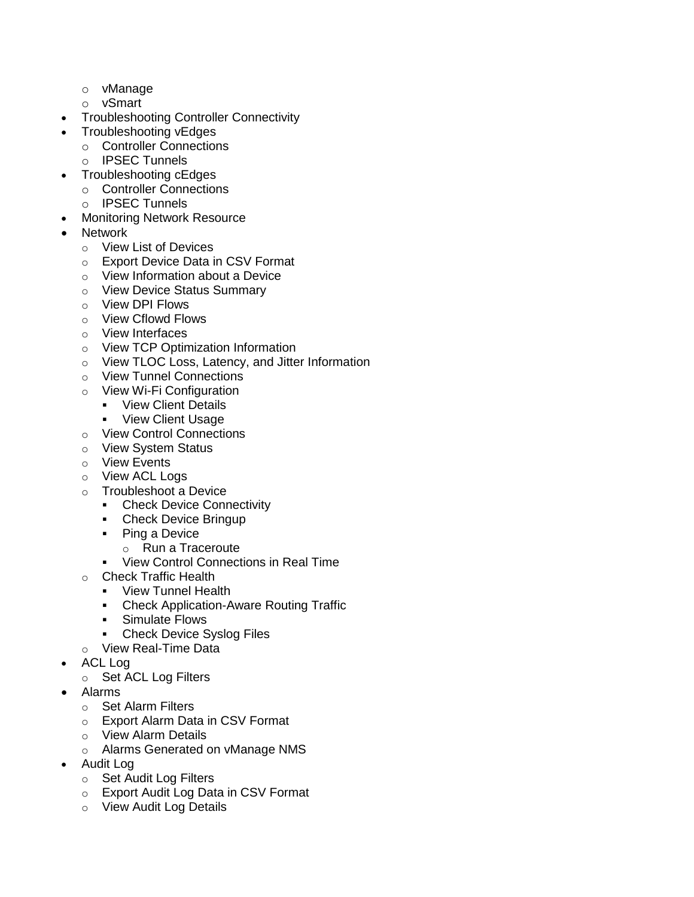- o vManage
- o vSmart
- Troubleshooting Controller Connectivity
- Troubleshooting vEdges
	- o Controller Connections
	- o IPSEC Tunnels
- Troubleshooting cEdges
	- o Controller Connections
	- o IPSEC Tunnels
- Monitoring Network Resource
- **Network** 
	- o View List of Devices
	- o Export Device Data in CSV Format
	- o View Information about a Device
	- o View Device Status Summary
	- o View DPI Flows
	- o View Cflowd Flows
	- o View Interfaces
	- o View TCP Optimization Information
	- o View TLOC Loss, Latency, and Jitter Information
	- o View Tunnel Connections
	- o View Wi-Fi Configuration
		- **•** View Client Details
			- View Client Usage
	- o View Control Connections
	- o View System Status
	- o View Events
	- o View ACL Logs
	- o Troubleshoot a Device
		- **-** Check Device Connectivity
		- Check Device Bringup
		- Ping a Device
			- o Run a Traceroute
		- **View Control Connections in Real Time**
	- o Check Traffic Health
		- **•** View Tunnel Health
		- Check Application-Aware Routing Traffic
		- **Simulate Flows**
		- Check Device Syslog Files
	- o View Real-Time Data
- ACL Log
	- o Set ACL Log Filters
- Alarms
	- o Set Alarm Filters
	- o Export Alarm Data in CSV Format
	- o View Alarm Details
	- o Alarms Generated on vManage NMS
- Audit Log
	- o Set Audit Log Filters
	- o Export Audit Log Data in CSV Format
	- o View Audit Log Details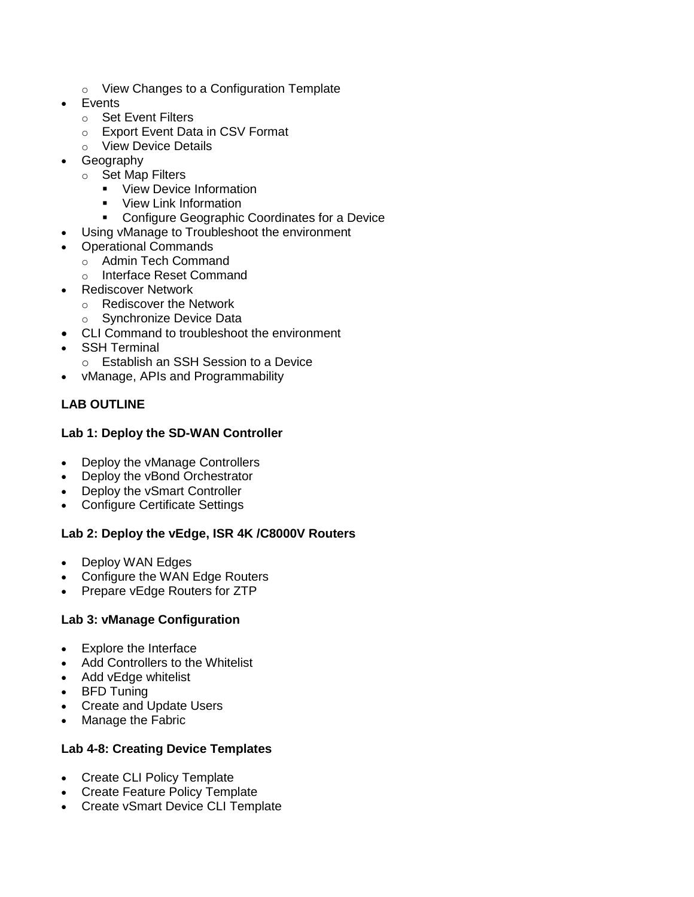- o View Changes to a Configuration Template
- **Events** 
	- o Set Event Filters
	- o Export Event Data in CSV Format
	- o View Device Details
- Geography
	- o Set Map Filters
		- **•** View Device Information
		- **•** View Link Information
		- **Configure Geographic Coordinates for a Device**
- Using vManage to Troubleshoot the environment
- Operational Commands
	- o Admin Tech Command
	- o Interface Reset Command
- Rediscover Network
	- o Rediscover the Network
	- o Synchronize Device Data
	- CLI Command to troubleshoot the environment
- SSH Terminal
	- o Establish an SSH Session to a Device
- vManage, APIs and Programmability

# **LAB OUTLINE**

## **Lab 1: Deploy the SD-WAN Controller**

- Deploy the vManage Controllers
- Deploy the vBond Orchestrator
- Deploy the vSmart Controller
- Configure Certificate Settings

# **Lab 2: Deploy the vEdge, ISR 4K /C8000V Routers**

- Deploy WAN Edges
- Configure the WAN Edge Routers
- Prepare vEdge Routers for ZTP

# **Lab 3: vManage Configuration**

- Explore the Interface
- Add Controllers to the Whitelist
- Add vEdge whitelist
- BFD Tuning
- Create and Update Users
- Manage the Fabric

#### **Lab 4-8: Creating Device Templates**

- Create CLI Policy Template
- Create Feature Policy Template
- Create vSmart Device CLI Template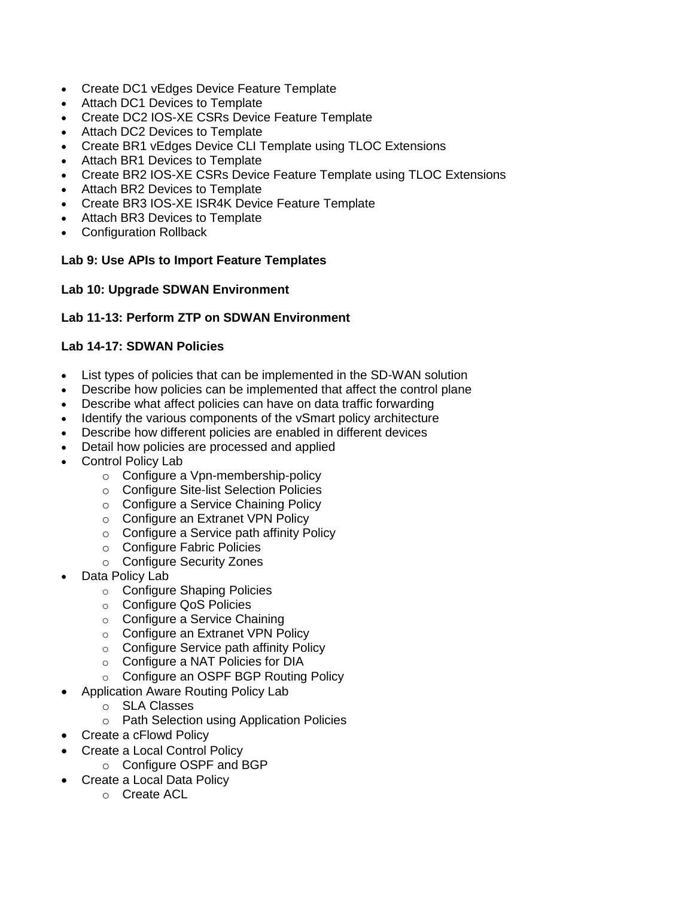- Create DC1 vEdges Device Feature Template
- Attach DC1 Devices to Template
- Create DC2 IOS-XE CSRs Device Feature Template
- Attach DC2 Devices to Template
- Create BR1 vEdges Device CLI Template using TLOC Extensions
- Attach BR1 Devices to Template
- Create BR2 IOS-XE CSRs Device Feature Template using TLOC Extensions
- Attach BR2 Devices to Template
- Create BR3 IOS-XE ISR4K Device Feature Template
- Attach BR3 Devices to Template
- Configuration Rollback

## **Lab 9: Use APIs to Import Feature Templates**

## **Lab 10: Upgrade SDWAN Environment**

## **Lab 11-13: Perform ZTP on SDWAN Environment**

## **Lab 14-17: SDWAN Policies**

- List types of policies that can be implemented in the SD-WAN solution
- Describe how policies can be implemented that affect the control plane
- Describe what affect policies can have on data traffic forwarding
- Identify the various components of the vSmart policy architecture
- Describe how different policies are enabled in different devices
	- Detail how policies are processed and applied
- Control Policy Lab
	- o Configure a Vpn-membership-policy
	- o Configure Site-list Selection Policies
	- o Configure a Service Chaining Policy
	- o Configure an Extranet VPN Policy
	- o Configure a Service path affinity Policy
	- o Configure Fabric Policies
	- o Configure Security Zones
- Data Policy Lab
	- o Configure Shaping Policies
	- o Configure QoS Policies
	- o Configure a Service Chaining
	- o Configure an Extranet VPN Policy
	- o Configure Service path affinity Policy
	- o Configure a NAT Policies for DIA
	- o Configure an OSPF BGP Routing Policy
	- Application Aware Routing Policy Lab
		- o SLA Classes
		- o Path Selection using Application Policies
- Create a cFlowd Policy
- Create a Local Control Policy
	- o Configure OSPF and BGP
- Create a Local Data Policy
	- o Create ACL